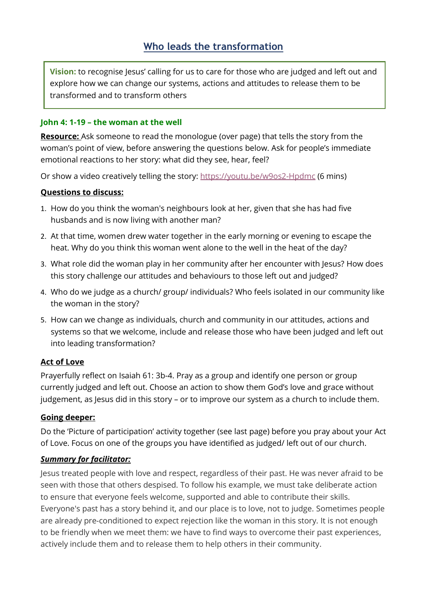**Vision:** to recognise Jesus' calling for us to care for those who are judged and left out and explore how we can change our systems, actions and attitudes to release them to be transformed and to transform others

### **John 4: 1-19 – the woman at the well**

**Resource:** Ask someone to read the monologue (over page) that tells the story from the woman's point of view, before answering the questions below. Ask for people's immediate emotional reactions to her story: what did they see, hear, feel?

Or show a video creatively telling the story:<https://youtu.be/w9os2-Hpdmc> (6 mins)

### **Questions to discuss:**

- 1. How do you think the woman's neighbours look at her, given that she has had five husbands and is now living with another man?
- 2. At that time, women drew water together in the early morning or evening to escape the heat. Why do you think this woman went alone to the well in the heat of the day?
- 3. What role did the woman play in her community after her encounter with Jesus? How does this story challenge our attitudes and behaviours to those left out and judged?
- 4. Who do we judge as a church/ group/ individuals? Who feels isolated in our community like the woman in the story?
- 5. How can we change as individuals, church and community in our attitudes, actions and systems so that we welcome, include and release those who have been judged and left out into leading transformation?

# **Act of Love**

Prayerfully reflect on Isaiah 61: 3b-4. Pray as a group and identify one person or group currently judged and left out. Choose an action to show them God's love and grace without judgement, as Jesus did in this story – or to improve our system as a church to include them.

#### **Going deeper:**

Do the 'Picture of participation' activity together (see last page) before you pray about your Act of Love. Focus on one of the groups you have identified as judged/ left out of our church.

# *Summary for facilitator:*

Jesus treated people with love and respect, regardless of their past. He was never afraid to be seen with those that others despised. To follow his example, we must take deliberate action to ensure that everyone feels welcome, supported and able to contribute their skills. Everyone's past has a story behind it, and our place is to love, not to judge. Sometimes people are already pre-conditioned to expect rejection like the woman in this story. It is not enough to be friendly when we meet them: we have to find ways to overcome their past experiences, actively include them and to release them to help others in their community.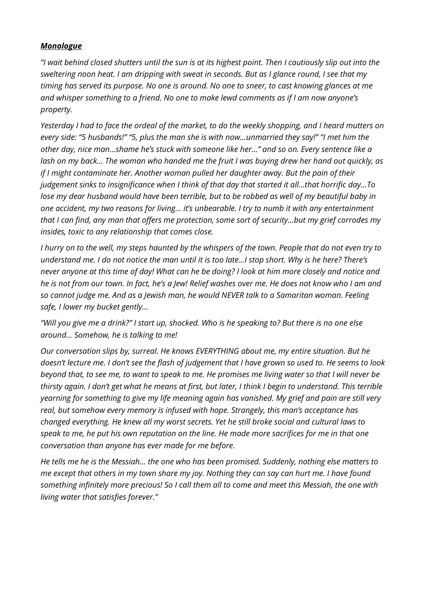### *Monologue*

*"I wait behind closed shutters until the sun is at its highest point. Then I cautiously slip out into the sweltering noon heat. I am dripping with sweat in seconds. But as I glance round, I see that my timing has served its purpose. No one is around. No one to sneer, to cast knowing glances at me and whisper something to a friend. No one to make lewd comments as if I am now anyone's property.* 

*Yesterday I had to face the ordeal of the market, to do the weekly shopping, and I heard mutters on every side: "5 husbands!" "5, plus the man she is with now…unmarried they say!" "I met him the other day, nice man…shame he's stuck with someone like her…" and so on. Every sentence like a lash on my back… The woman who handed me the fruit I was buying drew her hand out quickly, as if I might contaminate her. Another woman pulled her daughter away. But the pain of their judgement sinks to insignificance when I think of that day that started it all…that horrific day…To lose my dear husband would have been terrible, but to be robbed as well of my beautiful baby in one accident, my two reasons for living… it's unbearable. I try to numb it with any entertainment that I can find, any man that offers me protection, some sort of security…but my grief corrodes my insides, toxic to any relationship that comes close.* 

*I hurry on to the well, my steps haunted by the whispers of the town. People that do not even try to understand me. I do not notice the man until it is too late…I stop short. Why is he here? There's never anyone at this time of day! What can he be doing? I look at him more closely and notice and he is not from our town. In fact, he's a Jew! Relief washes over me. He does not know who I am and so cannot judge me. And as a Jewish man, he would NEVER talk to a Samaritan woman. Feeling safe, I lower my bucket gently…*

*"Will you give me a drink?" I start up, shocked. Who is he speaking to? But there is no one else around… Somehow, he is talking to me!*

*Our conversation slips by, surreal. He knows EVERYTHING about me, my entire situation. But he doesn't lecture me. I don't see the flash of judgement that I have grown so used to. He seems to look beyond that, to see me, to want to speak to me. He promises me living water so that I will never be thirsty again. I don't get what he means at first, but later, I think I begin to understand. This terrible yearning for something to give my life meaning again has vanished. My grief and pain are still very real, but somehow every memory is infused with hope. Strangely, this man's acceptance has changed everything. He knew all my worst secrets. Yet he still broke social and cultural laws to speak to me, he put his own reputation on the line. He made more sacrifices for me in that one conversation than anyone has ever made for me before.* 

*He tells me he is the Messiah… the one who has been promised. Suddenly, nothing else matters to me except that others in my town share my joy. Nothing they can say can hurt me. I have found something infinitely more precious! So I call them all to come and meet this Messiah, the one with living water that satisfies forever."*